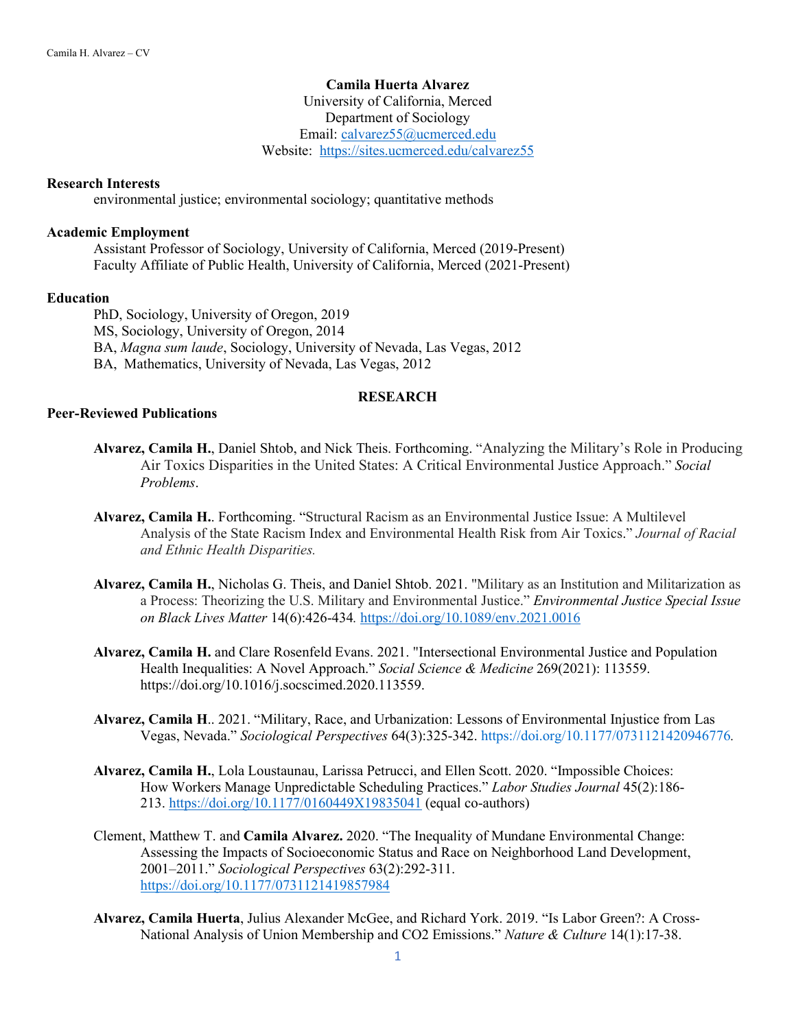# **Camila Huerta Alvarez**

University of California, Merced Department of Sociology Email: [calvarez55@ucmerced.edu](mailto:calvarez55@ucmerced.edu) Website: <https://sites.ucmerced.edu/calvarez55>

### **Research Interests**

environmental justice; environmental sociology; quantitative methods

# **Academic Employment**

Assistant Professor of Sociology, University of California, Merced (2019-Present) Faculty Affiliate of Public Health, University of California, Merced (2021-Present)

### **Education**

PhD, Sociology, University of Oregon, 2019 MS, Sociology, University of Oregon, 2014 BA, *Magna sum laude*, Sociology, University of Nevada, Las Vegas, 2012 BA, Mathematics, University of Nevada, Las Vegas, 2012

### **RESEARCH**

#### **Peer-Reviewed Publications**

- **Alvarez, Camila H.**, Daniel Shtob, and Nick Theis. Forthcoming. "Analyzing the Military's Role in Producing Air Toxics Disparities in the United States: A Critical Environmental Justice Approach." *Social Problems*.
- **Alvarez, Camila H.**. Forthcoming. "Structural Racism as an Environmental Justice Issue: A Multilevel Analysis of the State Racism Index and Environmental Health Risk from Air Toxics." *Journal of Racial and Ethnic Health Disparities.*
- **Alvarez, Camila H.**, Nicholas G. Theis, and Daniel Shtob. 2021. "Military as an Institution and Militarization as a Process: Theorizing the U.S. Military and Environmental Justice." *Environmental Justice Special Issue on Black Lives Matter* 14(6):426-434*.* <https://doi.org/10.1089/env.2021.0016>
- **Alvarez, Camila H.** and Clare Rosenfeld Evans. 2021. "Intersectional Environmental Justice and Population Health Inequalities: A Novel Approach." *Social Science & Medicine* 269(2021): 113559. https://doi.org/10.1016/j.socscimed.2020.113559.
- **Alvarez, Camila H**.. 2021. "Military, Race, and Urbanization: Lessons of Environmental Injustice from Las Vegas, Nevada." *Sociological Perspectives* 64(3):325-342. [https://doi.org/10.1177/0731121420946776](https://doi.org/10.1177%2F0731121420946776)*.*
- **Alvarez, Camila H.**, Lola Loustaunau, Larissa Petrucci, and Ellen Scott. 2020. "Impossible Choices: How Workers Manage Unpredictable Scheduling Practices." *Labor Studies Journal* 45(2):186- 213.<https://doi.org/10.1177/0160449X19835041> (equal co-authors)
- Clement, Matthew T. and **Camila Alvarez.** 2020. "The Inequality of Mundane Environmental Change: Assessing the Impacts of Socioeconomic Status and Race on Neighborhood Land Development, 2001–2011." *Sociological Perspectives* 63(2):292-311. [https://doi.org/10.1177/0731121419857984](https://doi.org/10.1177%2F0731121419857984)
- **Alvarez, Camila Huerta**, Julius Alexander McGee, and Richard York. 2019. "Is Labor Green?: A Cross-National Analysis of Union Membership and CO2 Emissions." *Nature & Culture* 14(1):17-38.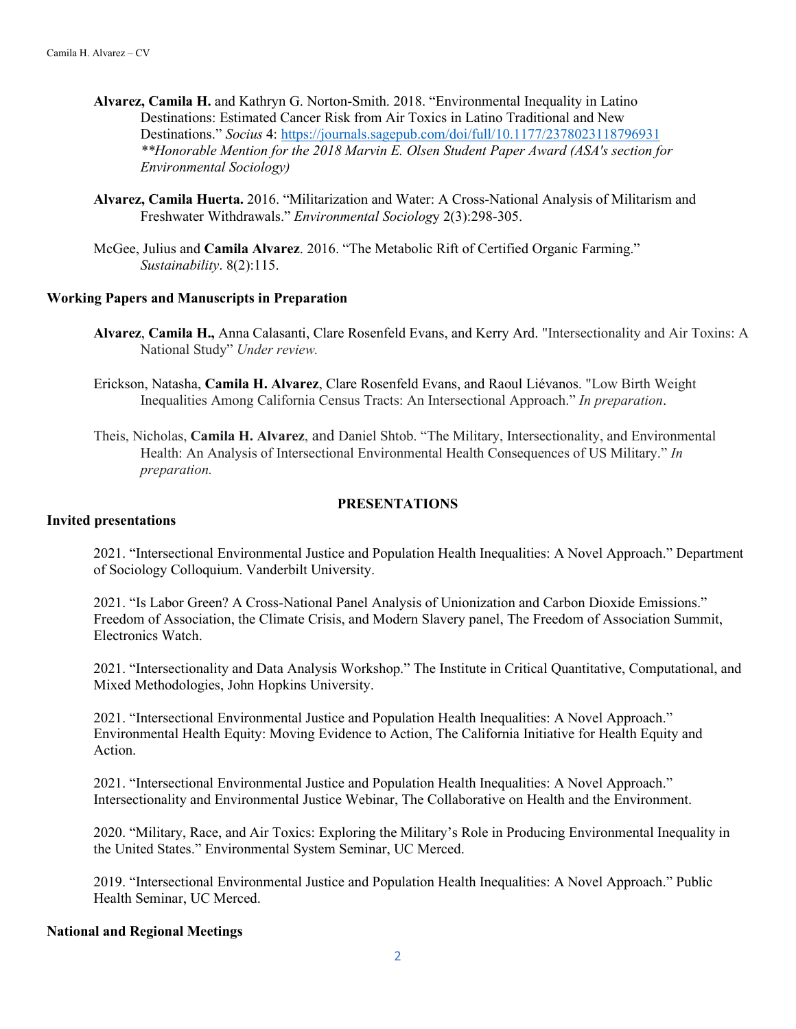- **Alvarez, Camila H.** and Kathryn G. Norton-Smith. 2018. "Environmental Inequality in Latino Destinations: Estimated Cancer Risk from Air Toxics in Latino Traditional and New Destinations." *Socius* 4:<https://journals.sagepub.com/doi/full/10.1177/2378023118796931> *\*\*Honorable Mention for the 2018 Marvin E. Olsen Student Paper Award (ASA's section for Environmental Sociology)*
- **Alvarez, Camila Huerta.** 2016. "Militarization and Water: A Cross-National Analysis of Militarism and Freshwater Withdrawals." *Environmental Sociolog*y 2(3):298-305.
- McGee, Julius and **Camila Alvarez**. 2016. "The Metabolic Rift of Certified Organic Farming." *Sustainability*. 8(2):115.

### **Working Papers and Manuscripts in Preparation**

- **Alvarez**, **Camila H.,** Anna Calasanti, Clare Rosenfeld Evans, and Kerry Ard. "Intersectionality and Air Toxins: A National Study" *Under review.*
- Erickson, Natasha, **Camila H. Alvarez**, Clare Rosenfeld Evans, and Raoul Liévanos. "Low Birth Weight Inequalities Among California Census Tracts: An Intersectional Approach." *In preparation*.
- Theis, Nicholas, **Camila H. Alvarez**, and Daniel Shtob. "The Military, Intersectionality, and Environmental Health: An Analysis of Intersectional Environmental Health Consequences of US Military." *In preparation.*

## **PRESENTATIONS**

### **Invited presentations**

2021. "Intersectional Environmental Justice and Population Health Inequalities: A Novel Approach." Department of Sociology Colloquium. Vanderbilt University.

2021. "Is Labor Green? A Cross-National Panel Analysis of Unionization and Carbon Dioxide Emissions." Freedom of Association, the Climate Crisis, and Modern Slavery panel, The Freedom of Association Summit, Electronics Watch.

2021. "Intersectionality and Data Analysis Workshop." The Institute in Critical Quantitative, Computational, and Mixed Methodologies, John Hopkins University.

2021. "Intersectional Environmental Justice and Population Health Inequalities: A Novel Approach." Environmental Health Equity: Moving Evidence to Action, The California Initiative for Health Equity and Action.

2021. "Intersectional Environmental Justice and Population Health Inequalities: A Novel Approach." Intersectionality and Environmental Justice Webinar, The Collaborative on Health and the Environment.

2020. "Military, Race, and Air Toxics: Exploring the Military's Role in Producing Environmental Inequality in the United States." Environmental System Seminar, UC Merced.

2019. "Intersectional Environmental Justice and Population Health Inequalities: A Novel Approach." Public Health Seminar, UC Merced.

### **National and Regional Meetings**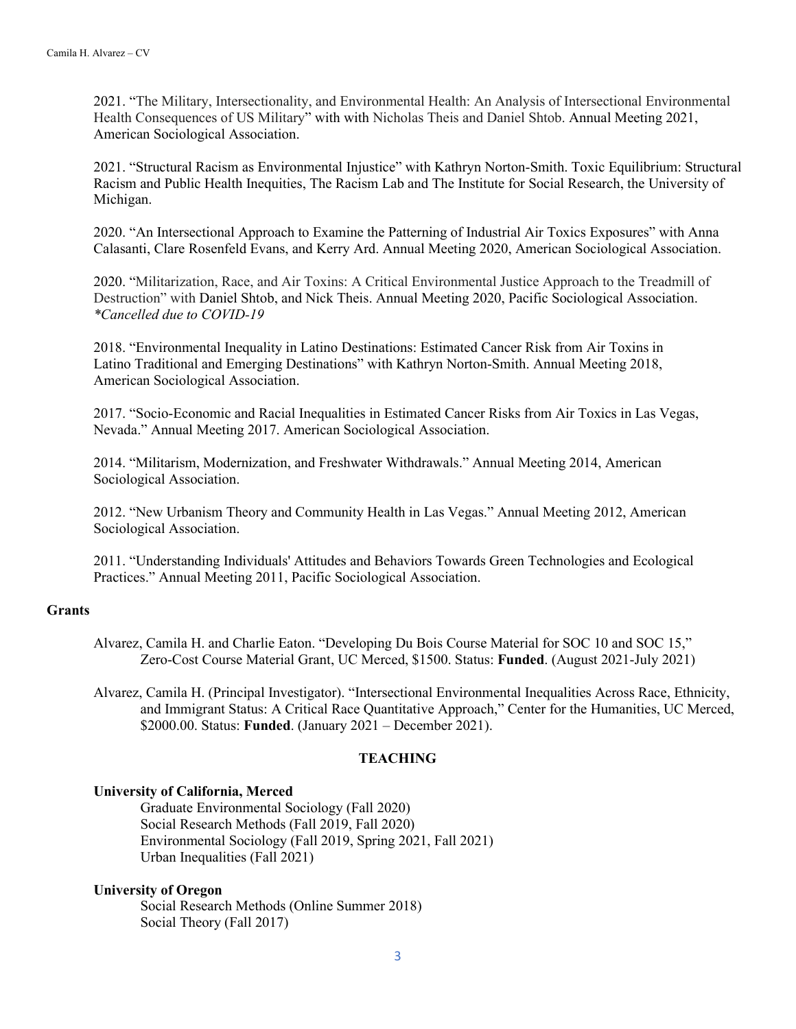2021. "The Military, Intersectionality, and Environmental Health: An Analysis of Intersectional Environmental Health Consequences of US Military" with with Nicholas Theis and Daniel Shtob. Annual Meeting 2021, American Sociological Association.

2021. "Structural Racism as Environmental Injustice" with Kathryn Norton-Smith. Toxic Equilibrium: Structural Racism and Public Health Inequities, The Racism Lab and The Institute for Social Research, the University of Michigan.

2020. "An Intersectional Approach to Examine the Patterning of Industrial Air Toxics Exposures" with Anna Calasanti, Clare Rosenfeld Evans, and Kerry Ard. Annual Meeting 2020, American Sociological Association.

2020. "Militarization, Race, and Air Toxins: A Critical Environmental Justice Approach to the Treadmill of Destruction" with Daniel Shtob, and Nick Theis. Annual Meeting 2020, Pacific Sociological Association. *\*Cancelled due to COVID-19*

2018. "Environmental Inequality in Latino Destinations: Estimated Cancer Risk from Air Toxins in Latino Traditional and Emerging Destinations" with Kathryn Norton-Smith. Annual Meeting 2018, American Sociological Association.

2017. "Socio-Economic and Racial Inequalities in Estimated Cancer Risks from Air Toxics in Las Vegas, Nevada." Annual Meeting 2017. American Sociological Association.

2014. "Militarism, Modernization, and Freshwater Withdrawals." Annual Meeting 2014, American Sociological Association.

2012. "New Urbanism Theory and Community Health in Las Vegas." Annual Meeting 2012, American Sociological Association.

2011. "Understanding Individuals' Attitudes and Behaviors Towards Green Technologies and Ecological Practices." Annual Meeting 2011, Pacific Sociological Association.

### **Grants**

Alvarez, Camila H. and Charlie Eaton. "Developing Du Bois Course Material for SOC 10 and SOC 15," Zero-Cost Course Material Grant, UC Merced, \$1500. Status: **Funded**. (August 2021-July 2021)

Alvarez, Camila H. (Principal Investigator). "Intersectional Environmental Inequalities Across Race, Ethnicity, and Immigrant Status: A Critical Race Quantitative Approach," Center for the Humanities, UC Merced, \$2000.00. Status: **Funded**. (January 2021 – December 2021).

# **TEACHING**

### **University of California, Merced**

Graduate Environmental Sociology (Fall 2020) Social Research Methods (Fall 2019, Fall 2020) Environmental Sociology (Fall 2019, Spring 2021, Fall 2021) Urban Inequalities (Fall 2021)

### **University of Oregon**

Social Research Methods (Online Summer 2018) Social Theory (Fall 2017)